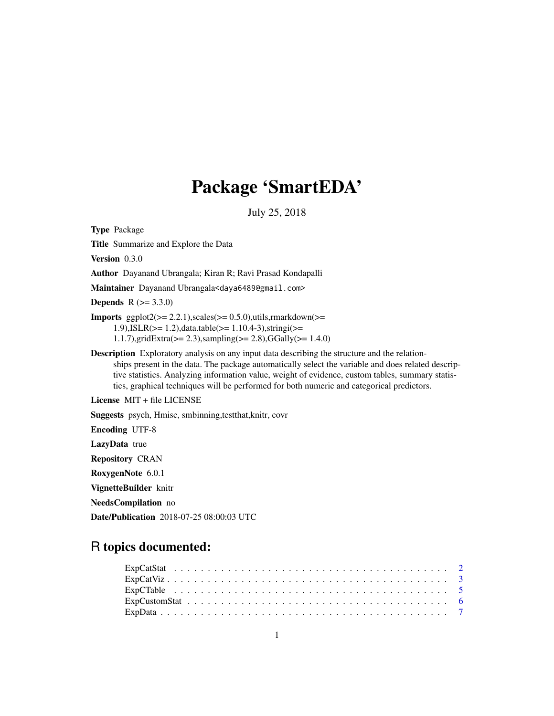# Package 'SmartEDA'

July 25, 2018

<span id="page-0-0"></span>Type Package

Title Summarize and Explore the Data

Version 0.3.0

Author Dayanand Ubrangala; Kiran R; Ravi Prasad Kondapalli

Maintainer Dayanand Ubrangala<daya6489@gmail.com>

**Depends** R  $(>= 3.3.0)$ 

**Imports** ggplot $2 \ge 2.2.1$ ), scales  $\le 0.5.0$ ), utils, rmarkdown  $\ge$ 1.9),ISLR(>= 1.2),data.table(>= 1.10.4-3),stringi(>= 1.1.7),gridExtra(>= 2.3),sampling(>= 2.8),GGally(>= 1.4.0)

Description Exploratory analysis on any input data describing the structure and the relationships present in the data. The package automatically select the variable and does related descriptive statistics. Analyzing information value, weight of evidence, custom tables, summary statistics, graphical techniques will be performed for both numeric and categorical predictors.

License MIT + file LICENSE

Suggests psych, Hmisc, smbinning,testthat,knitr, covr

Encoding UTF-8

LazyData true

Repository CRAN

RoxygenNote 6.0.1

VignetteBuilder knitr

NeedsCompilation no

Date/Publication 2018-07-25 08:00:03 UTC

# R topics documented: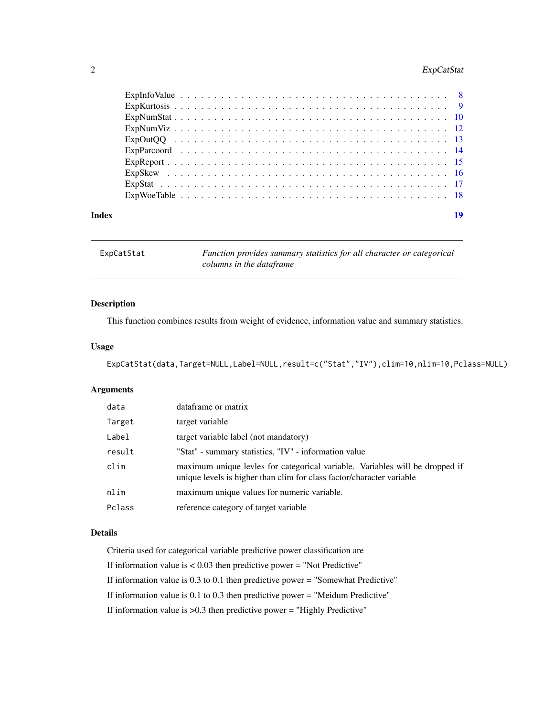# <span id="page-1-0"></span>2 ExpCatStat

| Index | 19 |  |
|-------|----|--|

| ExpCatStat | Function provides summary statistics for all character or categorical |
|------------|-----------------------------------------------------------------------|
|            | columns in the dataframe                                              |

# Description

This function combines results from weight of evidence, information value and summary statistics.

# Usage

```
ExpCatStat(data,Target=NULL,Label=NULL,result=c("Stat","IV"),clim=10,nlim=10,Pclass=NULL)
```
# Arguments

| data   | dataframe or matrix                                                                                                                                   |
|--------|-------------------------------------------------------------------------------------------------------------------------------------------------------|
| Target | target variable                                                                                                                                       |
| Label  | target variable label (not mandatory)                                                                                                                 |
| result | "Stat" - summary statistics, "IV" - information value                                                                                                 |
| clim   | maximum unique levles for categorical variable. Variables will be dropped if<br>unique levels is higher than clim for class factor/character variable |
| nlim   | maximum unique values for numeric variable.                                                                                                           |
| Pclass | reference category of target variable                                                                                                                 |

# Details

Criteria used for categorical variable predictive power classification are

If information value is  $< 0.03$  then predictive power = "Not Predictive"

If information value is 0.3 to 0.1 then predictive power = "Somewhat Predictive"

If information value is 0.1 to 0.3 then predictive power = "Meidum Predictive"

If information value is >0.3 then predictive power = "Highly Predictive"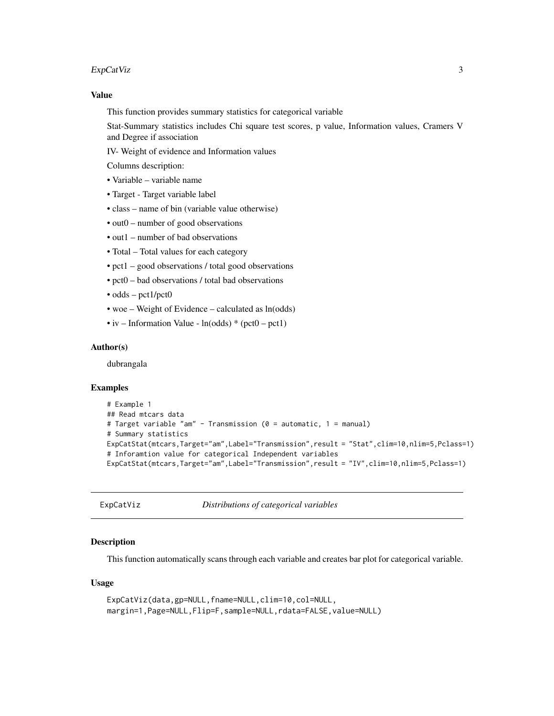#### <span id="page-2-0"></span>ExpCatViz 3

#### Value

This function provides summary statistics for categorical variable

Stat-Summary statistics includes Chi square test scores, p value, Information values, Cramers V and Degree if association

IV- Weight of evidence and Information values

Columns description:

- Variable variable name
- Target Target variable label
- class name of bin (variable value otherwise)
- out0 number of good observations
- out1 number of bad observations
- Total Total values for each category
- pct1 good observations / total good observations
- pct0 bad observations / total bad observations
- odds pct1/pct0
- woe Weight of Evidence calculated as ln(odds)
- iv Information Value  $ln(odds) * (pet0 pet1)$

### Author(s)

dubrangala

# Examples

```
# Example 1
## Read mtcars data
# Target variable "am" - Transmission (0 = automatic, 1 = manual)
# Summary statistics
ExpCatStat(mtcars,Target="am",Label="Transmission",result = "Stat",clim=10,nlim=5,Pclass=1)
# Inforamtion value for categorical Independent variables
ExpCatStat(mtcars,Target="am",Label="Transmission",result = "IV",clim=10,nlim=5,Pclass=1)
```

```
ExpCatViz Distributions of categorical variables
```
# Description

This function automatically scans through each variable and creates bar plot for categorical variable.

### Usage

```
ExpCatViz(data,gp=NULL,fname=NULL,clim=10,col=NULL,
margin=1,Page=NULL,Flip=F,sample=NULL,rdata=FALSE,value=NULL)
```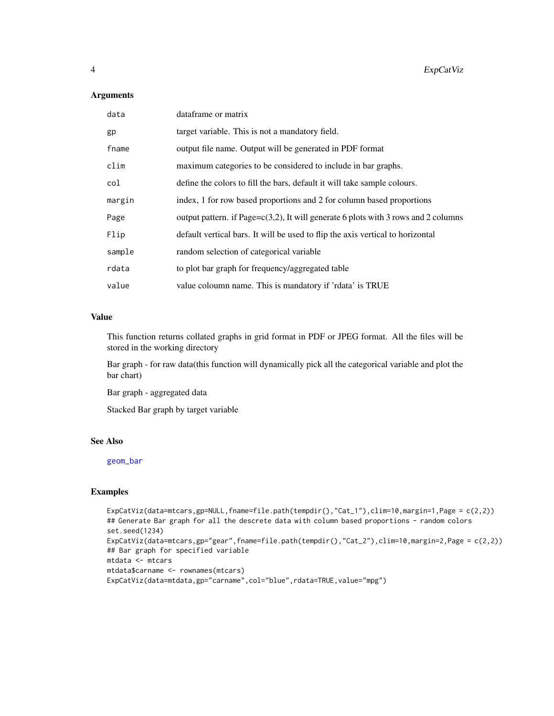# <span id="page-3-0"></span>Arguments

| data   | dataframe or matrix                                                                    |
|--------|----------------------------------------------------------------------------------------|
| gp     | target variable. This is not a mandatory field.                                        |
| fname  | output file name. Output will be generated in PDF format                               |
| clim   | maximum categories to be considered to include in bar graphs.                          |
| col    | define the colors to fill the bars, default it will take sample colours.               |
| margin | index, 1 for row based proportions and 2 for column based proportions                  |
| Page   | output pattern. if Page= $c(3,2)$ , It will generate 6 plots with 3 rows and 2 columns |
| Flip   | default vertical bars. It will be used to flip the axis vertical to horizontal         |
| sample | random selection of categorical variable                                               |
| rdata  | to plot bar graph for frequency/aggregated table                                       |
| value  | value coloumn name. This is mandatory if 'rdata' is TRUE                               |

#### Value

This function returns collated graphs in grid format in PDF or JPEG format. All the files will be stored in the working directory

Bar graph - for raw data(this function will dynamically pick all the categorical variable and plot the bar chart)

Bar graph - aggregated data

Stacked Bar graph by target variable

#### See Also

[geom\\_bar](#page-0-0)

```
ExpCatViz(data=mtcars,gp=NULL,fname=file.path(tempdir(),"Cat_1"),clim=10,margin=1,Page = c(2,2))
## Generate Bar graph for all the descrete data with column based proportions - random colors
set.seed(1234)
ExpCatViz(data=mtcars,gp="gear",fname=file.path(tempdir(),"Cat_2"),clim=10,margin=2,Page = c(2,2))
## Bar graph for specified variable
mtdata <- mtcars
mtdata$carname <- rownames(mtcars)
ExpCatViz(data=mtdata,gp="carname",col="blue",rdata=TRUE,value="mpg")
```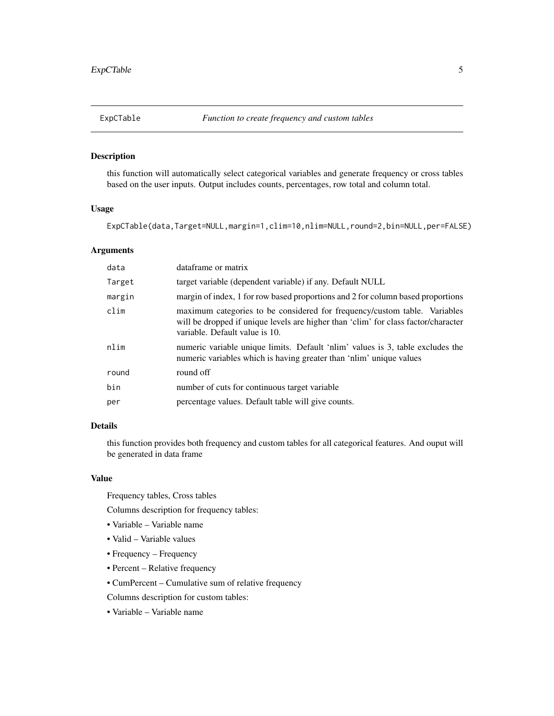<span id="page-4-0"></span>

this function will automatically select categorical variables and generate frequency or cross tables based on the user inputs. Output includes counts, percentages, row total and column total.

# Usage

ExpCTable(data,Target=NULL,margin=1,clim=10,nlim=NULL,round=2,bin=NULL,per=FALSE)

# Arguments

| data   | dataframe or matrix                                                                                                                                                                               |
|--------|---------------------------------------------------------------------------------------------------------------------------------------------------------------------------------------------------|
| Target | target variable (dependent variable) if any. Default NULL                                                                                                                                         |
| margin | margin of index, 1 for row based proportions and 2 for column based proportions                                                                                                                   |
| clim   | maximum categories to be considered for frequency/custom table. Variables<br>will be dropped if unique levels are higher than 'clim' for class factor/character<br>variable. Default value is 10. |
| nlim   | numeric variable unique limits. Default 'n lim' values is 3, table excludes the<br>numeric variables which is having greater than 'nlim' unique values                                            |
| round  | round off                                                                                                                                                                                         |
| bin    | number of cuts for continuous target variable                                                                                                                                                     |
| per    | percentage values. Default table will give counts.                                                                                                                                                |

# Details

this function provides both frequency and custom tables for all categorical features. And ouput will be generated in data frame

# Value

Frequency tables, Cross tables

Columns description for frequency tables:

- Variable Variable name
- Valid Variable values
- Frequency Frequency
- Percent Relative frequency
- CumPercent Cumulative sum of relative frequency

Columns description for custom tables:

• Variable – Variable name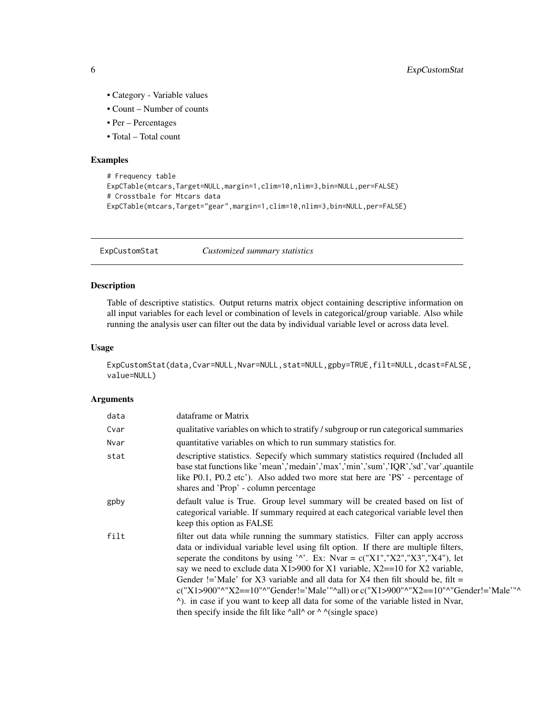- Category Variable values
- Count Number of counts
- Per Percentages
- Total Total count

# Examples

```
# Frequency table
ExpCTable(mtcars,Target=NULL,margin=1,clim=10,nlim=3,bin=NULL,per=FALSE)
# Crosstbale for Mtcars data
ExpCTable(mtcars,Target="gear",margin=1,clim=10,nlim=3,bin=NULL,per=FALSE)
```
ExpCustomStat *Customized summary statistics*

#### Description

Table of descriptive statistics. Output returns matrix object containing descriptive information on all input variables for each level or combination of levels in categorical/group variable. Also while running the analysis user can filter out the data by individual variable level or across data level.

# Usage

```
ExpCustomStat(data,Cvar=NULL,Nvar=NULL,stat=NULL,gpby=TRUE,filt=NULL,dcast=FALSE,
value=NULL)
```
#### Arguments

| data | dataframe or Matrix                                                                                                                                                                                                                                                                                                                                                                                                                                                                                                                                                                                                                                                                                                         |
|------|-----------------------------------------------------------------------------------------------------------------------------------------------------------------------------------------------------------------------------------------------------------------------------------------------------------------------------------------------------------------------------------------------------------------------------------------------------------------------------------------------------------------------------------------------------------------------------------------------------------------------------------------------------------------------------------------------------------------------------|
| Cvar | qualitative variables on which to stratify / subgroup or run categorical summaries                                                                                                                                                                                                                                                                                                                                                                                                                                                                                                                                                                                                                                          |
| Nvar | quantitative variables on which to run summary statistics for.                                                                                                                                                                                                                                                                                                                                                                                                                                                                                                                                                                                                                                                              |
| stat | descriptive statistics. Sepecify which summary statistics required (Included all<br>base stat functions like 'mean','medain','max','min','sum','IQR','sd','var',quantile<br>like P0.1, P0.2 etc'). Also added two more stat here are 'PS' - percentage of<br>shares and 'Prop' - column percentage                                                                                                                                                                                                                                                                                                                                                                                                                          |
| gpby | default value is True. Group level summary will be created based on list of<br>categorical variable. If summary required at each categorical variable level then<br>keep this option as FALSE                                                                                                                                                                                                                                                                                                                                                                                                                                                                                                                               |
| filt | filter out data while running the summary statistics. Filter can apply accross<br>data or individual variable level using filt option. If there are multiple filters,<br>seperate the conditions by using ' $\lambda$ '. Ex: Nvar = c("X1","X2","X3","X4"), let<br>say we need to exclude data $X1 > 900$ for X1 variable, $X2 = 10$ for X2 variable,<br>Gender != 'Male' for X3 variable and all data for X4 then filt should be, filt =<br>c("X1>900"^"X2==10"^"Gender!='Male'"^all) or c("X1>900"^"X2==10"^"Gender!='Male'"^<br><sup>^</sup> ). in case if you want to keep all data for some of the variable listed in Nvar,<br>then specify inside the filt like $\lambda$ all $\land$ or $\land \land$ (single space) |

<span id="page-5-0"></span>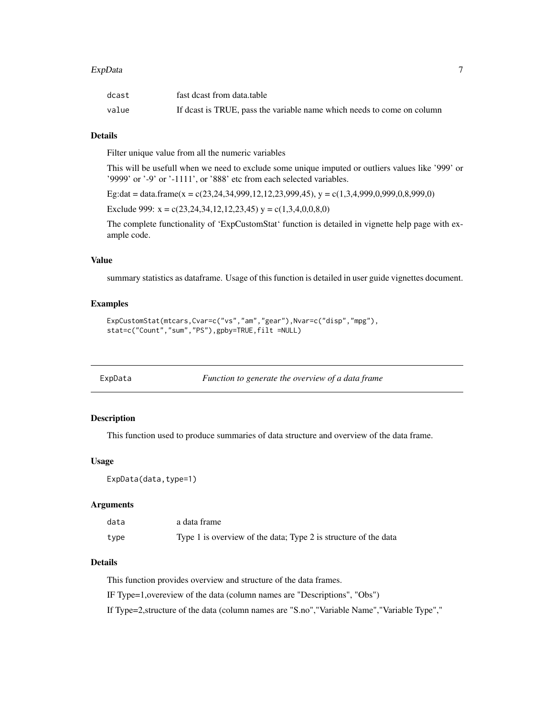#### <span id="page-6-0"></span>ExpData 7

| dcast | fast deast from data.table                                             |
|-------|------------------------------------------------------------------------|
| value | If deast is TRUE, pass the variable name which needs to come on column |

#### Details

Filter unique value from all the numeric variables

This will be usefull when we need to exclude some unique imputed or outliers values like '999' or '9999' or '-9' or '-1111', or '888' etc from each selected variables.

Eg:dat = data.frame(x = c(23,24,34,999,12,12,23,999,45), y = c(1,3,4,999,0,999,0,8,999,0)

Exclude 999:  $x = c(23, 24, 34, 12, 12, 23, 45)$   $y = c(1, 3, 4, 0, 0, 8, 0)$ 

The complete functionality of 'ExpCustomStat' function is detailed in vignette help page with example code.

# Value

summary statistics as dataframe. Usage of this function is detailed in user guide vignettes document.

# Examples

```
ExpCustomStat(mtcars,Cvar=c("vs","am","gear"),Nvar=c("disp","mpg"),
stat=c("Count","sum","PS"),gpby=TRUE,filt =NULL)
```

| xpData |  |
|--------|--|
|        |  |

Function to generate the overview of a data frame

# Description

This function used to produce summaries of data structure and overview of the data frame.

# Usage

ExpData(data,type=1)

# Arguments

| data | a data frame                                                    |
|------|-----------------------------------------------------------------|
| type | Type 1 is overview of the data; Type 2 is structure of the data |

# Details

This function provides overview and structure of the data frames.

IF Type=1,overeview of the data (column names are "Descriptions", "Obs")

If Type=2,structure of the data (column names are "S.no","Variable Name","Variable Type","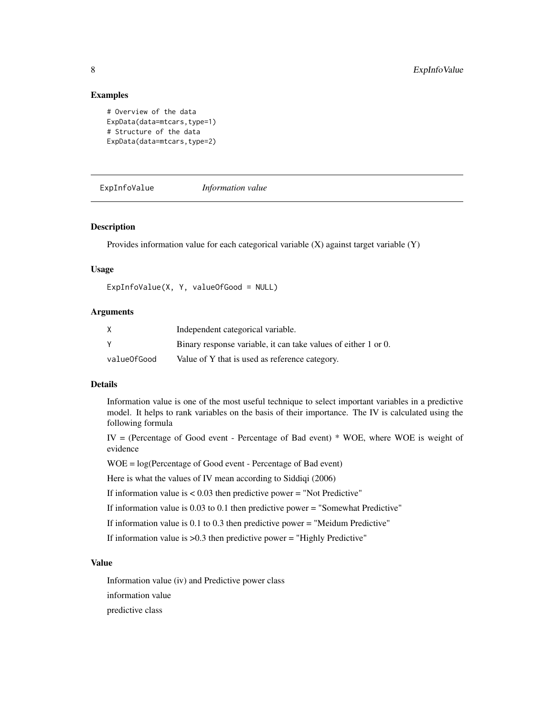#### Examples

```
# Overview of the data
ExpData(data=mtcars,type=1)
# Structure of the data
ExpData(data=mtcars,type=2)
```
ExpInfoValue *Information value*

#### Description

Provides information value for each categorical variable (X) against target variable (Y)

#### Usage

```
ExpInfoValue(X, Y, valueOfGood = NULL)
```
# Arguments

| X           | Independent categorical variable.                              |
|-------------|----------------------------------------------------------------|
|             | Binary response variable, it can take values of either 1 or 0. |
| valueOfGood | Value of Y that is used as reference category.                 |

#### Details

Information value is one of the most useful technique to select important variables in a predictive model. It helps to rank variables on the basis of their importance. The IV is calculated using the following formula

IV = (Percentage of Good event - Percentage of Bad event) \* WOE, where WOE is weight of evidence

WOE = log(Percentage of Good event - Percentage of Bad event)

Here is what the values of IV mean according to Siddiqi (2006)

If information value is < 0.03 then predictive power = "Not Predictive"

If information value is 0.03 to 0.1 then predictive power = "Somewhat Predictive"

If information value is 0.1 to 0.3 then predictive power = "Meidum Predictive"

If information value is  $>0.3$  then predictive power = "Highly Predictive"

#### Value

Information value (iv) and Predictive power class

information value

predictive class

<span id="page-7-0"></span>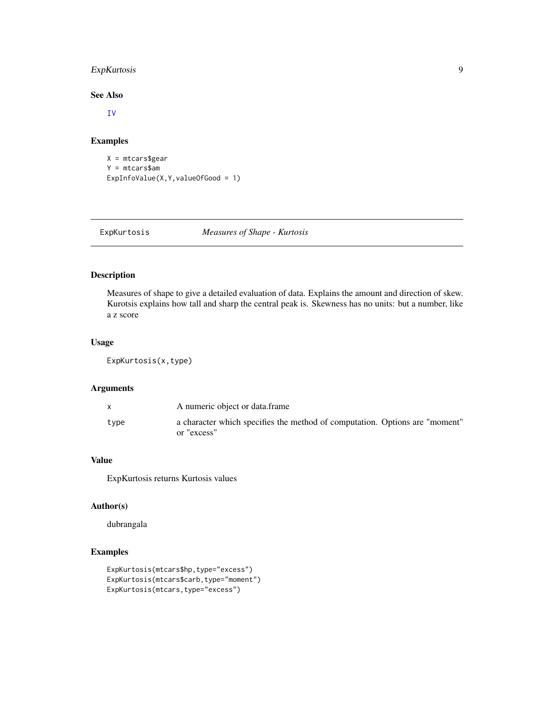# <span id="page-8-0"></span>ExpKurtosis 9

### See Also

[IV](#page-0-0)

# Examples

```
X = mtcars$gear
Y = mtcars$am
ExpInfoValue(X,Y,valueOfGood = 1)
```
ExpKurtosis *Measures of Shape - Kurtosis*

# Description

Measures of shape to give a detailed evaluation of data. Explains the amount and direction of skew. Kurotsis explains how tall and sharp the central peak is. Skewness has no units: but a number, like a z score

# Usage

ExpKurtosis(x,type)

# Arguments

|      | A numeric object or data.frame                                                             |
|------|--------------------------------------------------------------------------------------------|
| type | a character which specifies the method of computation. Options are "moment"<br>or "excess" |

#### Value

ExpKurtosis returns Kurtosis values

# Author(s)

dubrangala

```
ExpKurtosis(mtcars$hp,type="excess")
ExpKurtosis(mtcars$carb,type="moment")
ExpKurtosis(mtcars,type="excess")
```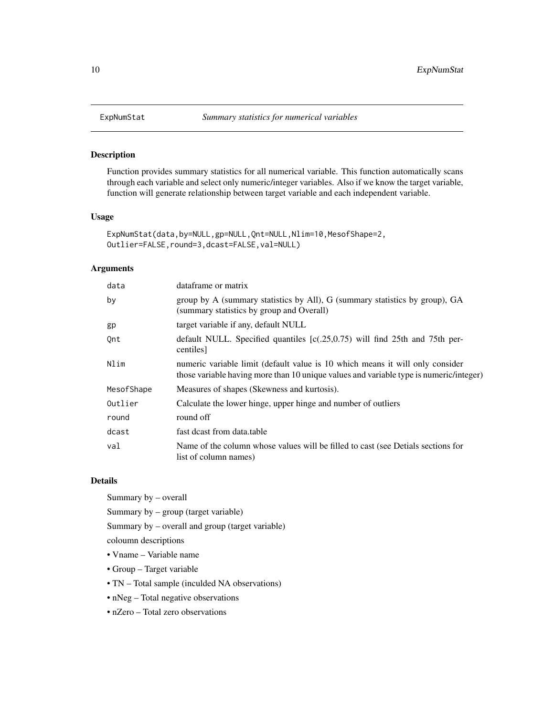Function provides summary statistics for all numerical variable. This function automatically scans through each variable and select only numeric/integer variables. Also if we know the target variable, function will generate relationship between target variable and each independent variable.

#### Usage

```
ExpNumStat(data,by=NULL,gp=NULL,Qnt=NULL,Nlim=10,MesofShape=2,
Outlier=FALSE,round=3,dcast=FALSE,val=NULL)
```
### Arguments

| data       | dataframe or matrix                                                                                                                                                     |
|------------|-------------------------------------------------------------------------------------------------------------------------------------------------------------------------|
| by         | group by A (summary statistics by All), G (summary statistics by group), GA<br>(summary statistics by group and Overall)                                                |
| gp         | target variable if any, default NULL                                                                                                                                    |
| Qnt        | default NULL. Specified quantiles $(c(.25,0.75))$ will find 25th and 75th per-<br>centiles]                                                                             |
| Nlim       | numeric variable limit (default value is 10 which means it will only consider<br>those variable having more than 10 unique values and variable type is numeric/integer) |
| MesofShape | Measures of shapes (Skewness and kurtosis).                                                                                                                             |
| Outlier    | Calculate the lower hinge, upper hinge and number of outliers                                                                                                           |
| round      | round off                                                                                                                                                               |
| dcast      | fast deast from data, table                                                                                                                                             |
| val        | Name of the column whose values will be filled to cast (see Detials sections for<br>list of column names)                                                               |

#### Details

Summary by – overall

Summary by – group (target variable)

Summary by – overall and group (target variable)

coloumn descriptions

- Vname Variable name
- Group Target variable
- TN Total sample (inculded NA observations)
- nNeg Total negative observations
- nZero Total zero observations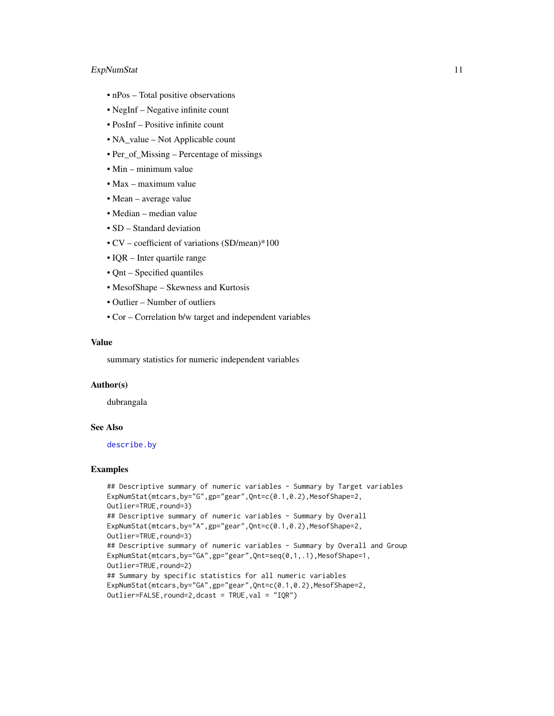# <span id="page-10-0"></span>ExpNumStat 11

- nPos Total positive observations
- NegInf Negative infinite count
- PosInf Positive infinite count
- NA\_value Not Applicable count
- Per\_of\_Missing Percentage of missings
- Min minimum value
- Max maximum value
- Mean average value
- Median median value
- SD Standard deviation
- CV coefficient of variations (SD/mean)\*100
- IQR Inter quartile range
- Qnt Specified quantiles
- MesofShape Skewness and Kurtosis
- Outlier Number of outliers
- Cor Correlation b/w target and independent variables

# Value

summary statistics for numeric independent variables

#### Author(s)

dubrangala

# See Also

[describe.by](#page-0-0)

```
## Descriptive summary of numeric variables - Summary by Target variables
ExpNumStat(mtcars,by="G",gp="gear",Qnt=c(0.1,0.2),MesofShape=2,
Outlier=TRUE,round=3)
## Descriptive summary of numeric variables - Summary by Overall
ExpNumStat(mtcars,by="A",gp="gear",Qnt=c(0.1,0.2),MesofShape=2,
Outlier=TRUE, round=3)
## Descriptive summary of numeric variables - Summary by Overall and Group
ExpNumStat(mtcars,by="GA",gp="gear",Qnt=seq(0,1,.1),MesofShape=1,
Outlier=TRUE,round=2)
## Summary by specific statistics for all numeric variables
ExpNumStat(mtcars,by="GA",gp="gear",Qnt=c(0.1,0.2),MesofShape=2,
Outlier=FALSE,round=2,dcast = TRUE,val = "IQR")
```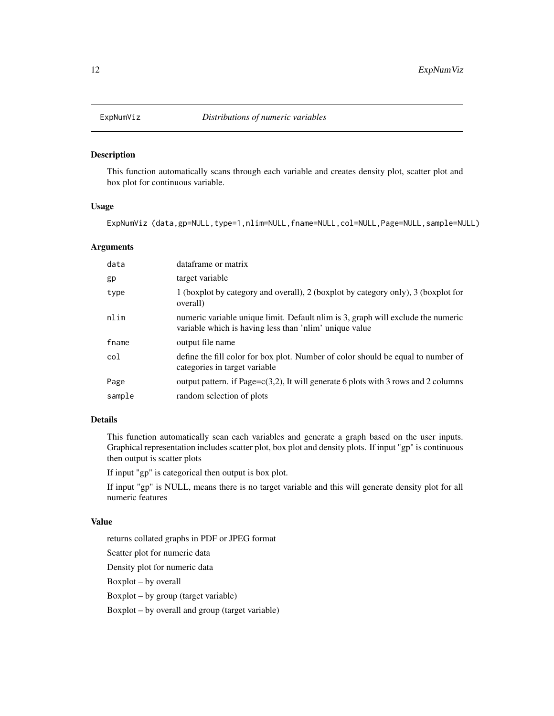<span id="page-11-0"></span>

This function automatically scans through each variable and creates density plot, scatter plot and box plot for continuous variable.

#### Usage

ExpNumViz (data,gp=NULL,type=1,nlim=NULL,fname=NULL,col=NULL,Page=NULL,sample=NULL)

#### Arguments

| data   | dataframe or matrix                                                                                                                        |
|--------|--------------------------------------------------------------------------------------------------------------------------------------------|
| gp     | target variable                                                                                                                            |
| type   | 1 (boxplot by category and overall), 2 (boxplot by category only), 3 (boxplot for<br>overall)                                              |
| nlim   | numeric variable unique limit. Default nlim is 3, graph will exclude the numeric<br>variable which is having less than 'nlim' unique value |
| fname  | output file name                                                                                                                           |
| col    | define the fill color for box plot. Number of color should be equal to number of<br>categories in target variable                          |
| Page   | output pattern. if Page= $c(3,2)$ , It will generate 6 plots with 3 rows and 2 columns                                                     |
| sample | random selection of plots                                                                                                                  |

#### Details

This function automatically scan each variables and generate a graph based on the user inputs. Graphical representation includes scatter plot, box plot and density plots. If input "gp" is continuous then output is scatter plots

If input "gp" is categorical then output is box plot.

If input "gp" is NULL, means there is no target variable and this will generate density plot for all numeric features

# Value

returns collated graphs in PDF or JPEG format

Scatter plot for numeric data

Density plot for numeric data

Boxplot – by overall

Boxplot – by group (target variable)

Boxplot – by overall and group (target variable)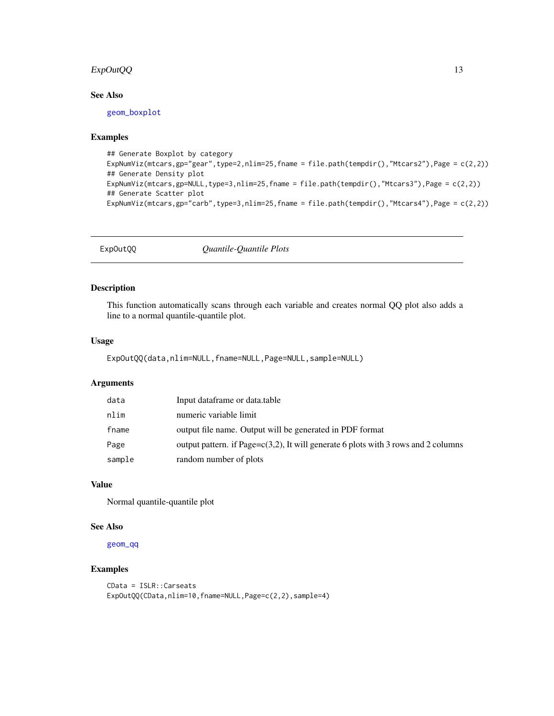# <span id="page-12-0"></span>ExpOutQQ 13

# See Also

[geom\\_boxplot](#page-0-0)

# Examples

```
## Generate Boxplot by category
ExpNumViz(mtcars,gp="gear",type=2,nlim=25,fname = file.path(tempdir(),"Mtcars2"),Page = c(2,2))
## Generate Density plot
ExpNumViz(mtcars,gp=NULL,type=3,nlim=25,fname = file.path(tempdir(),"Mtcars3"),Page = c(2,2))
## Generate Scatter plot
ExpNumViz(mtcars,gp="carb",type=3,nlim=25,fname = file.path(tempdir(),"Mtcars4"),Page = c(2,2))
```
ExpOutQQ *Quantile-Quantile Plots*

# Description

This function automatically scans through each variable and creates normal QQ plot also adds a line to a normal quantile-quantile plot.

#### Usage

ExpOutQQ(data,nlim=NULL,fname=NULL,Page=NULL,sample=NULL)

# Arguments

| data   | Input dataframe or data.table                                                          |
|--------|----------------------------------------------------------------------------------------|
| nlim   | numeric variable limit                                                                 |
| fname  | output file name. Output will be generated in PDF format                               |
| Page   | output pattern. if Page= $c(3,2)$ , It will generate 6 plots with 3 rows and 2 columns |
| sample | random number of plots                                                                 |

# Value

Normal quantile-quantile plot

#### See Also

[geom\\_qq](#page-0-0)

#### Examples

CData = ISLR::Carseats ExpOutQQ(CData,nlim=10,fname=NULL,Page=c(2,2),sample=4)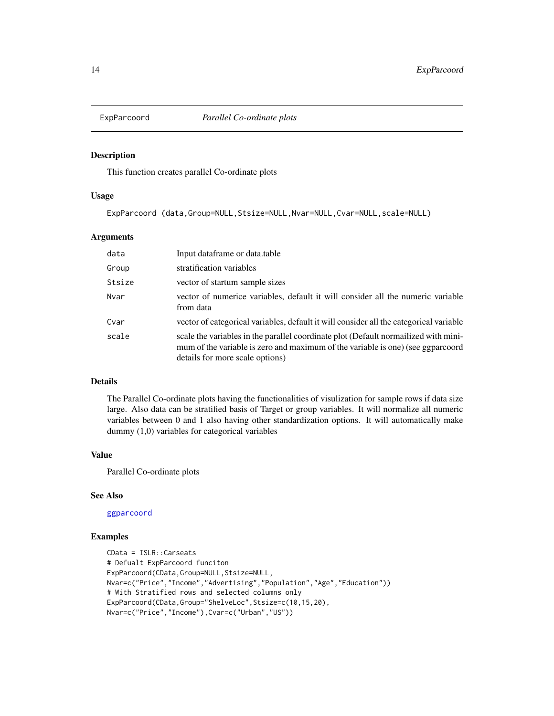<span id="page-13-0"></span>

This function creates parallel Co-ordinate plots

#### Usage

ExpParcoord (data,Group=NULL,Stsize=NULL,Nvar=NULL,Cvar=NULL,scale=NULL)

#### Arguments

| data   | Input dataframe or data.table                                                                                                                                                                            |
|--------|----------------------------------------------------------------------------------------------------------------------------------------------------------------------------------------------------------|
| Group  | stratification variables                                                                                                                                                                                 |
| Stsize | vector of startum sample sizes                                                                                                                                                                           |
| Nvar   | vector of numerice variables, default it will consider all the numeric variable<br>from data                                                                                                             |
| Cvar   | vector of categorical variables, default it will consider all the categorical variable                                                                                                                   |
| scale  | scale the variables in the parallel coordinate plot (Default normalized with mini-<br>mum of the variable is zero and maximum of the variable is one) (see ggparcoord<br>details for more scale options) |

#### Details

The Parallel Co-ordinate plots having the functionalities of visulization for sample rows if data size large. Also data can be stratified basis of Target or group variables. It will normalize all numeric variables between 0 and 1 also having other standardization options. It will automatically make dummy (1,0) variables for categorical variables

# Value

Parallel Co-ordinate plots

#### See Also

[ggparcoord](#page-0-0)

```
CData = ISLR::Carseats
# Defualt ExpParcoord funciton
ExpParcoord(CData,Group=NULL,Stsize=NULL,
Nvar=c("Price","Income","Advertising","Population","Age","Education"))
# With Stratified rows and selected columns only
ExpParcoord(CData,Group="ShelveLoc",Stsize=c(10,15,20),
Nvar=c("Price","Income"),Cvar=c("Urban","US"))
```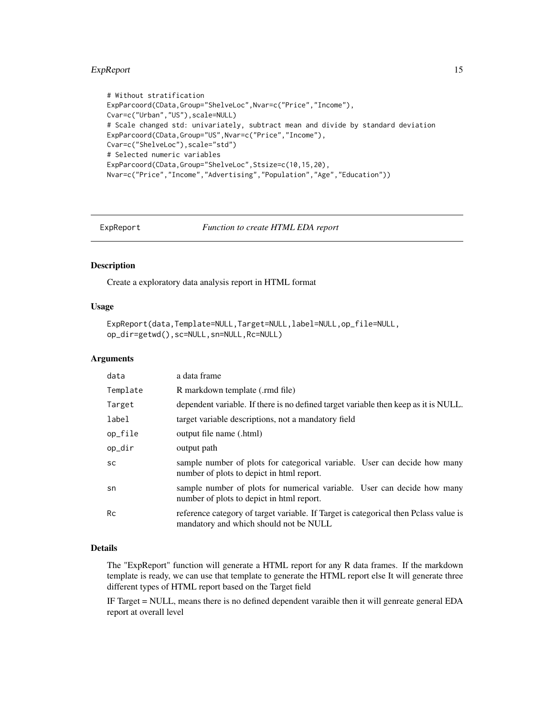#### <span id="page-14-0"></span>ExpReport 15

```
# Without stratification
ExpParcoord(CData,Group="ShelveLoc",Nvar=c("Price","Income"),
Cvar=c("Urban","US"),scale=NULL)
# Scale changed std: univariately, subtract mean and divide by standard deviation
ExpParcoord(CData,Group="US",Nvar=c("Price","Income"),
Cvar=c("ShelveLoc"),scale="std")
# Selected numeric variables
ExpParcoord(CData,Group="ShelveLoc",Stsize=c(10,15,20),
Nvar=c("Price","Income","Advertising","Population","Age","Education"))
```
ExpReport *Function to create HTML EDA report*

#### Description

Create a exploratory data analysis report in HTML format

#### Usage

```
ExpReport(data,Template=NULL,Target=NULL,label=NULL,op_file=NULL,
op_dir=getwd(),sc=NULL,sn=NULL,Rc=NULL)
```
# Arguments

| data      | a data frame                                                                                                                   |
|-----------|--------------------------------------------------------------------------------------------------------------------------------|
| Template  | R markdown template (.rmd file)                                                                                                |
| Target    | dependent variable. If there is no defined target variable then keep as it is NULL.                                            |
| label     | target variable descriptions, not a mandatory field                                                                            |
| op_file   | output file name (.html)                                                                                                       |
| op_dir    | output path                                                                                                                    |
| <b>SC</b> | sample number of plots for categorical variable. User can decide how many<br>number of plots to depict in html report.         |
| sn        | sample number of plots for numerical variable. User can decide how many<br>number of plots to depict in html report.           |
| <b>Rc</b> | reference category of target variable. If Target is categorical then Polass value is<br>mandatory and which should not be NULL |

#### Details

The "ExpReport" function will generate a HTML report for any R data frames. If the markdown template is ready, we can use that template to generate the HTML report else It will generate three different types of HTML report based on the Target field

IF Target = NULL, means there is no defined dependent varaible then it will genreate general EDA report at overall level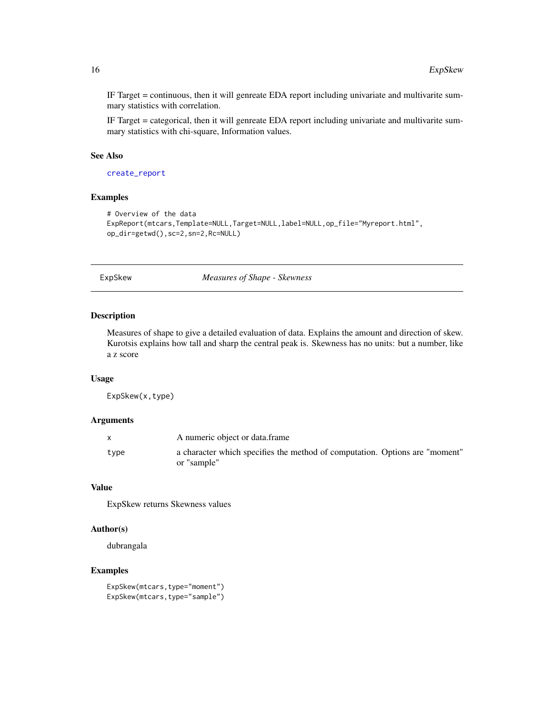IF Target = continuous, then it will genreate EDA report including univariate and multivarite summary statistics with correlation.

IF Target = categorical, then it will genreate EDA report including univariate and multivarite summary statistics with chi-square, Information values.

### See Also

[create\\_report](#page-0-0)

# Examples

```
# Overview of the data
ExpReport(mtcars,Template=NULL,Target=NULL,label=NULL,op_file="Myreport.html",
op_dir=getwd(),sc=2,sn=2,Rc=NULL)
```
ExpSkew *Measures of Shape - Skewness*

### Description

Measures of shape to give a detailed evaluation of data. Explains the amount and direction of skew. Kurotsis explains how tall and sharp the central peak is. Skewness has no units: but a number, like a z score

#### Usage

ExpSkew(x,type)

#### **Arguments**

|      | A numeric object or data.frame                                                             |
|------|--------------------------------------------------------------------------------------------|
| type | a character which specifies the method of computation. Options are "moment"<br>or "sample" |

# Value

ExpSkew returns Skewness values

#### Author(s)

dubrangala

#### Examples

ExpSkew(mtcars,type="moment") ExpSkew(mtcars,type="sample")

<span id="page-15-0"></span>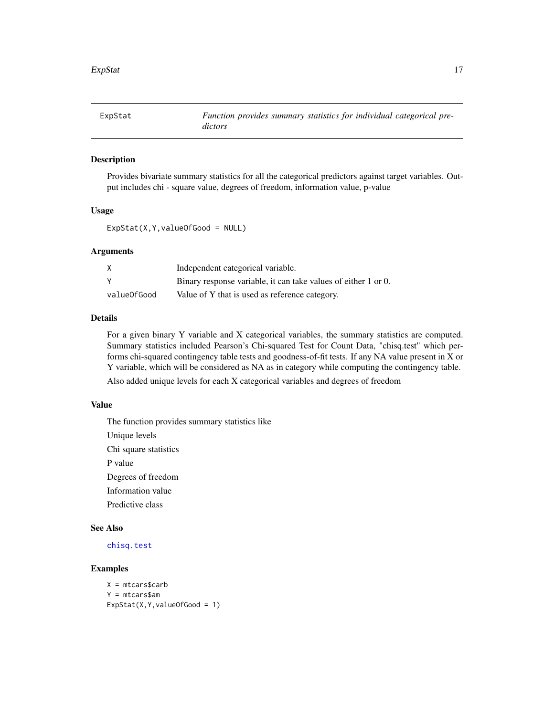<span id="page-16-0"></span>

Provides bivariate summary statistics for all the categorical predictors against target variables. Output includes chi - square value, degrees of freedom, information value, p-value

#### Usage

ExpStat(X,Y,valueOfGood = NULL)

#### Arguments

|             | Independent categorical variable.                              |
|-------------|----------------------------------------------------------------|
|             | Binary response variable, it can take values of either 1 or 0. |
| valueOfGood | Value of Y that is used as reference category.                 |

# Details

For a given binary Y variable and X categorical variables, the summary statistics are computed. Summary statistics included Pearson's Chi-squared Test for Count Data, "chisq.test" which performs chi-squared contingency table tests and goodness-of-fit tests. If any NA value present in X or Y variable, which will be considered as NA as in category while computing the contingency table.

Also added unique levels for each X categorical variables and degrees of freedom

### Value

The function provides summary statistics like Unique levels Chi square statistics P value Degrees of freedom Information value Predictive class

# See Also

[chisq.test](#page-0-0)

```
X = mtcars$carb
Y = mtcars$am
ExpStat(X,Y,valueOfGood = 1)
```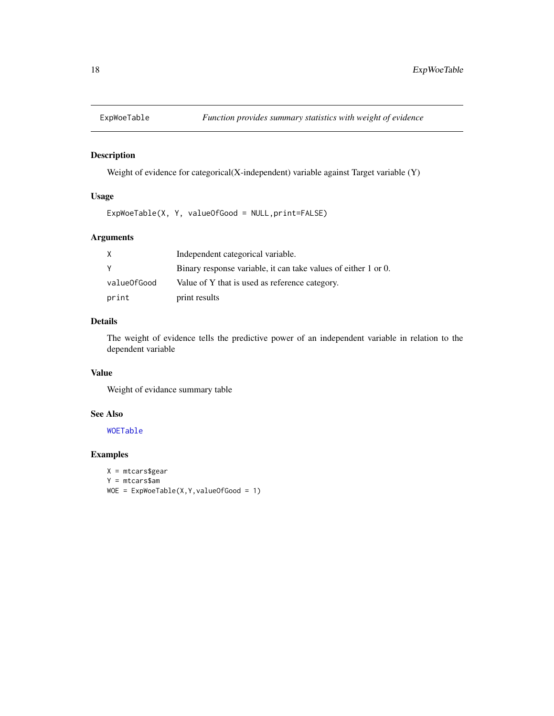<span id="page-17-0"></span>

Weight of evidence for categorical(X-independent) variable against Target variable (Y)

# Usage

ExpWoeTable(X, Y, valueOfGood = NULL,print=FALSE)

# Arguments

| X           | Independent categorical variable.                              |
|-------------|----------------------------------------------------------------|
| Y           | Binary response variable, it can take values of either 1 or 0. |
| valueOfGood | Value of Y that is used as reference category.                 |
| print       | print results                                                  |

### Details

The weight of evidence tells the predictive power of an independent variable in relation to the dependent variable

# Value

Weight of evidance summary table

# See Also

[WOETable](#page-0-0)

```
X = mtcars$gear
Y = mtcars$am
WOE = ExpWoeTable(X, Y, valueOfGood = 1)
```